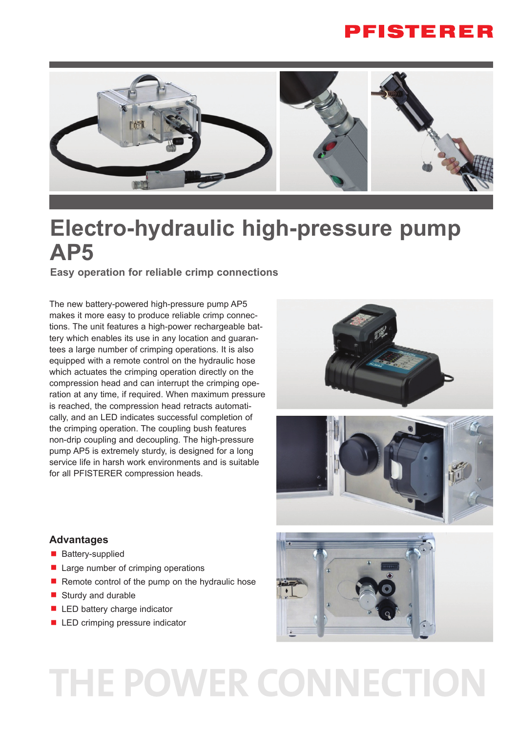### **PFISTERER**



# **Electro-hydraulic high-pressure pump AP5**

**Easy operation for reliable crimp connections**

The new battery-powered high-pressure pump AP5 makes it more easy to produce reliable crimp connections. The unit features a high-power rechargeable battery which enables its use in any location and guarantees a large number of crimping operations. It is also equipped with a remote control on the hydraulic hose which actuates the crimping operation directly on the compression head and can interrupt the crimping operation at any time, if required. When maximum pressure is reached, the compression head retracts automatically, and an LED indicates successful completion of the crimping operation. The coupling bush features non-drip coupling and decoupling. The high-pressure pump AP5 is extremely sturdy, is designed for a long service life in harsh work environments and is suitable for all PFISTERER compression heads.





#### **Advantages**

- **Battery-supplied**
- Large number of crimping operations
- Remote control of the pump on the hydraulic hose
- Sturdy and durable
- LED battery charge indicator
- LED crimping pressure indicator



# THE POWER CONNECTION